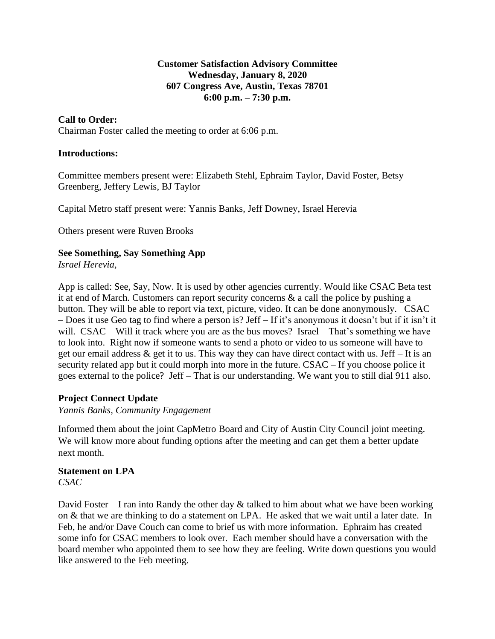## **Customer Satisfaction Advisory Committee Wednesday, January 8, 2020 607 Congress Ave, Austin, Texas 78701 6:00 p.m. – 7:30 p.m.**

## **Call to Order:**

Chairman Foster called the meeting to order at 6:06 p.m.

### **Introductions:**

Committee members present were: Elizabeth Stehl, Ephraim Taylor, David Foster, Betsy Greenberg, Jeffery Lewis, BJ Taylor

Capital Metro staff present were: Yannis Banks, Jeff Downey, Israel Herevia

Others present were Ruven Brooks

### **See Something, Say Something App**

*Israel Herevia,* 

App is called: See, Say, Now. It is used by other agencies currently. Would like CSAC Beta test it at end of March. Customers can report security concerns & a call the police by pushing a button. They will be able to report via text, picture, video. It can be done anonymously. CSAC – Does it use Geo tag to find where a person is? Jeff – If it's anonymous it doesn't but if it isn't it will. CSAC – Will it track where you are as the bus moves? Israel – That's something we have to look into. Right now if someone wants to send a photo or video to us someone will have to get our email address  $\&$  get it to us. This way they can have direct contact with us. Jeff – It is an security related app but it could morph into more in the future. CSAC – If you choose police it goes external to the police? Jeff – That is our understanding. We want you to still dial 911 also.

### **Project Connect Update**

*Yannis Banks, Community Engagement* 

Informed them about the joint CapMetro Board and City of Austin City Council joint meeting. We will know more about funding options after the meeting and can get them a better update next month.

#### **Statement on LPA** *CSAC*

David Foster – I ran into Randy the other day  $\&$  talked to him about what we have been working on & that we are thinking to do a statement on LPA. He asked that we wait until a later date. In Feb, he and/or Dave Couch can come to brief us with more information. Ephraim has created some info for CSAC members to look over. Each member should have a conversation with the board member who appointed them to see how they are feeling. Write down questions you would like answered to the Feb meeting.